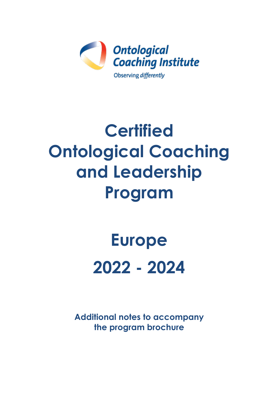

# **Certified Ontological Coaching and Leadership Program**

# **Europe 2022 - 2024**

**Additional notes to accompany the program brochure**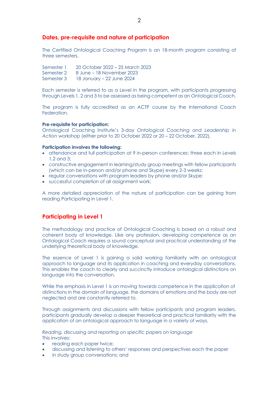#### **Dates, pre-requisite and nature of participation**

The Certified Ontological Coaching Program is an 18-month program consisting of three semesters.

Semester 1 20 October 2022 – 25 March 2023 Semester 2 8 June – 18 November 2023 Semester 3 18 January – 22 June 2024

Each semester is referred to as a Level in the program, with participants progressing through Levels 1, 2 and 3 to be assessed as being competent as an Ontological Coach.

The program is fully accredited as an ACTP course by the International Coach Federation.

#### **Pre-requisite for participation:**

Ontological Coaching Institute's 3-day *Ontological Coaching and Leadership in Action* workshop (either prior to 20 October 2022 or 20 – 22 October, 2022).

#### **Participation involves the following:**

- attendance and full participation at 9 in-person conferences: three each in Levels 1,2 and 3;
- constructive engagement in learning/study group meetings with fellow participants (which can be in-person and/or phone and Skype) every 2-3 weeks;
- regular conversations with program leaders by phone and/or Skype;
- successful completion of all assignment work;

A more detailed appreciation of the nature of participation can be gaining from reading Participating in Level 1.

#### **Participating in Level 1**

The methodology and practice of Ontological Coaching is based on a robust and coherent body of knowledge. Like any profession, developing competence as an Ontological Coach requires a sound conceptual and practical understanding of the underlying theoretical body of knowledge.

The essence of Level 1 is gaining a solid working familiarity with an ontological approach to language and its application in coaching and everyday conversations. This enables the coach to clearly and succinctly introduce ontological distinctions on language into the conversation.

While the emphasis in Level 1 is on moving towards competence in the application of distinctions in the domain of language, the domains of emotions and the body are not neglected and are constantly referred to.

Through assignments and discussions with fellow participants and program leaders, participants gradually develop a deeper theoretical and practical familiarity with the application of an ontological approach to language in a variety of ways.

*Reading, discussing and reporting on specific papers on language* This involves:

- reading each paper twice;
- discussing and listening to others' responses and perspectives each the paper
- in study group conversations; and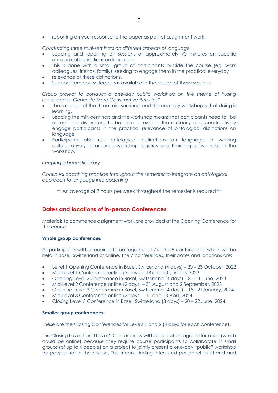reporting on your response to the paper as part of assignment work.

*Conducting three mini-seminars on different aspects of language*

- Leading and reporting on sessions of approximately 90 minutes on specific ontological distinctions on language.
- This is done with a small group of participants outside the course (eg, work colleagues, friends, family), seeking to engage them in the practical everyday
- relevance of these distinctions.
- Support from course leaders is available in the design of these sessions.

*Group project to conduct a one-day public workshop on the theme of "Using Language to Generate More Constructive Realities"*

- The rationale of the three mini-seminars and the one-day workshop is that doing is learning.
- Leading the mini-seminars and the workshop means that participants need to "be across" the distinctions to be able to explain them clearly and constructively engage participants in the practical relevance of ontological distinctions on language.
- Participants also use ontological distinctions on language in working collaboratively to organise workshop logistics and their respective roles in the workshop.

#### *Keeping a Linguistic Diary*

*Continual coaching practice throughout the semester to integrate an ontological approach to language into coaching*

\*\* An average of 7 hours per week throughout the semester is required \*\*

#### **Dates and locations of in-person Conferences**

Materials to commence assignment work are provided at the Opening Conference for the course.

#### **Whole group conferences**

All participants will be required to be together at 7 of the 9 conferences, which will be held in Basel, Switzerland or online. The 7 conferences, their dates and locations are:

- Level 1 Opening Conference in Basel, Switzerland (4 days) 20 23 October, 2022
- Mid-Level 1 Conference online (2 days) 18 and 20 January 2023
- Opening Level 2 Conference in Basel, Switzerland (4 days) 8 11 June, 2023
- Mid-Level 2 Conference online (2 days) 31 August and 2 September, 2023
- Opening Level 3 Conference in Basel, Switzerland (4 days) 18 21January, 2024
- Mid-Level 3 Conference online (2 days) 11 and 13 April, 2024
- Closing Level 3 Conference in Basel, Switzerland (3 days) 20 22 June, 2024

#### **Smaller group conferences**

These are the Closing Conferences for Levels 1 and 2 (4 days for each conference).

The Closing Level 1 and Level 2 Conferences will be held at an agreed location (which could be online) because they require course participants to collaborate in small groups (of up to 4 people) on a project to jointly present a one-day "public" workshop for people not in the course. This means finding interested personnel to attend and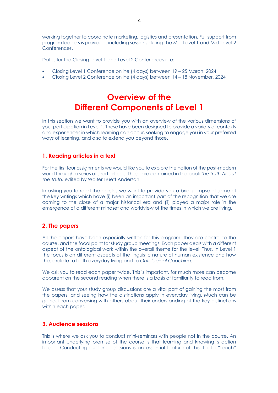working together to coordinate marketing, logistics and presentation. Full support from program leaders is provided, including sessions during The Mid-Level 1 and Mid-Level 2 Conferences.

Dates for the Closing Level 1 and Level 2 Conferences are:

- Closing Level 1 Conference online (4 days) between 19 25 March, 2024
- Closing Level 2 Conference online (4 days) between 14 18 November, 2024

# **Overview of the Different Components of Level 1**

In this section we want to provide you with an overview of the various dimensions of your participation in Level 1. These have been designed to provide a variety of contexts and experiences in which learning can occur, seeking to engage you in your preferred ways of learning, and also to extend you beyond those.

# **1. Reading articles in a text**

For the first four assignments we would like you to explore the notion of the post-modern world through a series of short articles. These are contained in the book *The Truth About The Truth,* edited by Walter Truett Anderson.

In asking you to read the articles we want to provide you a brief glimpse of some of the key writings which have (i) been an important part of the recognition that we are coming to the close of a major historical era and (ii) played a major role in the emergence of a different mindset and worldview of the times in which we are living.

#### **2. The papers**

All the papers have been especially written for this program. They are central to the course, and the focal point for study group meetings. Each paper deals with a different aspect of the ontological work within the overall theme for the level. Thus, in Level 1 the focus is on different aspects of the linguistic nature of human existence and how these relate to both everyday living and to *Ontological Coaching.*

We ask you to read each paper twice. This is important, for much more can become apparent on the second reading when there is a basis of familiarity to read from.

We assess that your study group discussions are a vital part of gaining the most from the papers, and seeing how the distinctions apply in everyday living. Much can be gained from conversing with others about their understanding of the key distinctions within each paper.

# **3. Audience sessions**

This is where we ask you to conduct mini-seminars with people not in the course. An important underlying premise of the course is that learning and knowing is action based. Conducting audience sessions is an essential feature of this, for to "teach"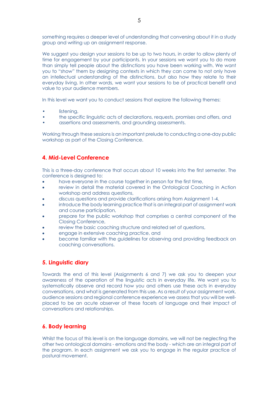something requires a deeper level of understanding that conversing about it in a study group and writing up an assignment response.

We suggest you design your sessions to be up to two hours, in order to allow plenty of time for engagement by your participants. In your sessions we want you to do more than simply tell people about the distinctions you have been working with. We want you to "show" them by designing contexts in which they can come to not only have an intellectual understanding of the distinctions, but also how they relate to their everyday living. In other words, we want your sessions to be of practical benefit and value to your audience members.

In this level we want you to conduct sessions that explore the following themes:

- listening,
- the specific linguistic acts of declarations, requests, promises and offers, and
- assertions and assessments, and grounding assessments.

Working through these sessions is an important prelude to conducting a one-day public workshop as part of the Closing Conference.

# **4. Mid-Level Conference**

This is a three-day conference that occurs about 10 weeks into the first semester. The conference is designed to:

- have everyone in the course together in person for the first time,
- review in detail the material covered in the Ontological Coaching in Action workshop and address questions,
- discuss questions and provide clarifications arising from Assignment 1-4,
- introduce the body learning practice that is an integral part of assignment work and course participation,
- prepare for the public workshop that comprises a central component of the Closing Conference,
- review the basic coaching structure and related set of questions,
- engage in extensive coaching practice, and
- become familiar with the guidelines for observing and providing feedback on coaching conversations.

#### **5. Linguistic diary**

Towards the end of this level (Assignments 6 and 7) we ask you to deepen your awareness of the operation of the linguistic acts in everyday life. We want you to systematically observe and record how you and others use these acts in everyday conversations, and what is generated from this use. As a result of your assignment work, audience sessions and regional conference experience we assess that you will be wellplaced to be an acute observer of these facets of language and their impact of conversations and relationships.

# **6. Body learning**

Whilst the focus of this level is on the language domains, we will not be neglecting the other two ontological domains - emotions and the body - which are an integral part of the program. In each assignment we ask you to engage in the regular practice of postural movement.